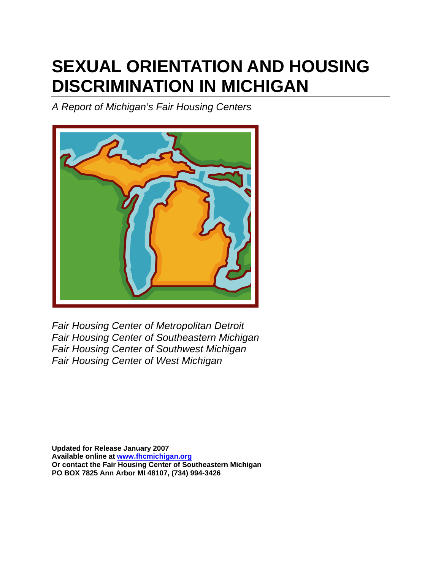# **SEXUAL ORIENTATION AND HOUSING DISCRIMINATION IN MICHIGAN**

*A Report of Michigan's Fair Housing Centers* 



*Fair Housing Center of Metropolitan Detroit Fair Housing Center of Southeastern Michigan Fair Housing Center of Southwest Michigan Fair Housing Center of West Michigan* 

**Updated for Release January 2007 Available online at www.fhcmichigan.org Or contact the Fair Housing Center of Southeastern Michigan PO BOX 7825 Ann Arbor MI 48107, (734) 994-3426**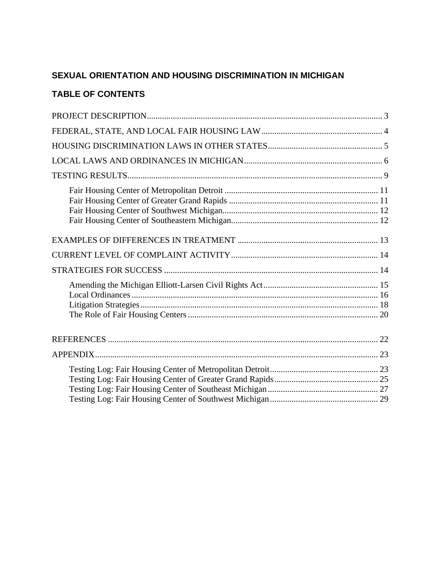#### **SEXUAL ORIENTATION AND HOUSING DISCRIMINATION IN MICHIGAN**

### **TABLE OF CONTENTS**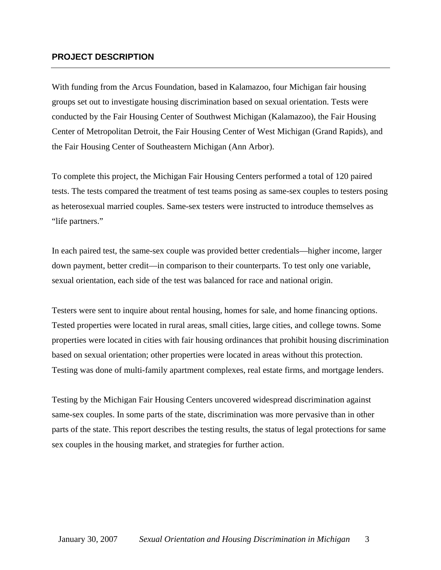#### **PROJECT DESCRIPTION**

With funding from the Arcus Foundation, based in Kalamazoo, four Michigan fair housing groups set out to investigate housing discrimination based on sexual orientation. Tests were conducted by the Fair Housing Center of Southwest Michigan (Kalamazoo), the Fair Housing Center of Metropolitan Detroit, the Fair Housing Center of West Michigan (Grand Rapids), and the Fair Housing Center of Southeastern Michigan (Ann Arbor).

To complete this project, the Michigan Fair Housing Centers performed a total of 120 paired tests. The tests compared the treatment of test teams posing as same-sex couples to testers posing as heterosexual married couples. Same-sex testers were instructed to introduce themselves as "life partners."

In each paired test, the same-sex couple was provided better credentials—higher income, larger down payment, better credit—in comparison to their counterparts. To test only one variable, sexual orientation, each side of the test was balanced for race and national origin.

Testers were sent to inquire about rental housing, homes for sale, and home financing options. Tested properties were located in rural areas, small cities, large cities, and college towns. Some properties were located in cities with fair housing ordinances that prohibit housing discrimination based on sexual orientation; other properties were located in areas without this protection. Testing was done of multi-family apartment complexes, real estate firms, and mortgage lenders.

Testing by the Michigan Fair Housing Centers uncovered widespread discrimination against same-sex couples. In some parts of the state, discrimination was more pervasive than in other parts of the state. This report describes the testing results, the status of legal protections for same sex couples in the housing market, and strategies for further action.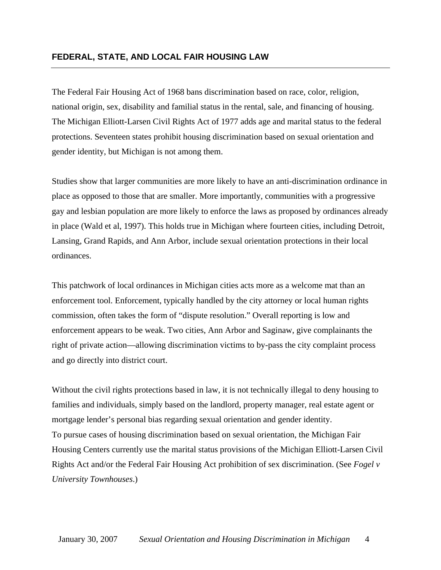The Federal Fair Housing Act of 1968 bans discrimination based on race, color, religion, national origin, sex, disability and familial status in the rental, sale, and financing of housing. The Michigan Elliott-Larsen Civil Rights Act of 1977 adds age and marital status to the federal protections. Seventeen states prohibit housing discrimination based on sexual orientation and gender identity, but Michigan is not among them.

Studies show that larger communities are more likely to have an anti-discrimination ordinance in place as opposed to those that are smaller. More importantly, communities with a progressive gay and lesbian population are more likely to enforce the laws as proposed by ordinances already in place (Wald et al, 1997). This holds true in Michigan where fourteen cities, including Detroit, Lansing, Grand Rapids, and Ann Arbor, include sexual orientation protections in their local ordinances.

This patchwork of local ordinances in Michigan cities acts more as a welcome mat than an enforcement tool. Enforcement, typically handled by the city attorney or local human rights commission, often takes the form of "dispute resolution." Overall reporting is low and enforcement appears to be weak. Two cities, Ann Arbor and Saginaw, give complainants the right of private action—allowing discrimination victims to by-pass the city complaint process and go directly into district court.

Without the civil rights protections based in law, it is not technically illegal to deny housing to families and individuals, simply based on the landlord, property manager, real estate agent or mortgage lender's personal bias regarding sexual orientation and gender identity. To pursue cases of housing discrimination based on sexual orientation, the Michigan Fair Housing Centers currently use the marital status provisions of the Michigan Elliott-Larsen Civil Rights Act and/or the Federal Fair Housing Act prohibition of sex discrimination. (See *Fogel v University Townhouses*.)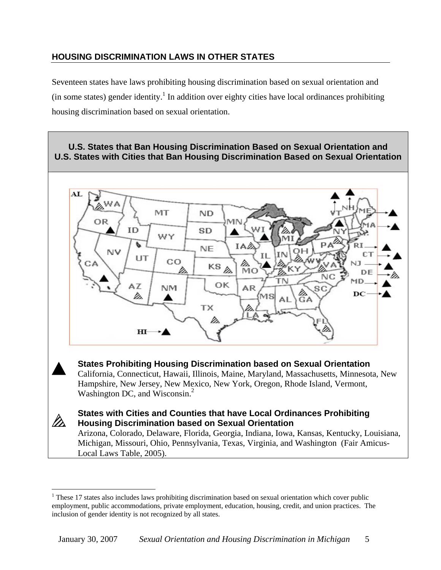#### **HOUSING DISCRIMINATION LAWS IN OTHER STATES**

Seventeen states have laws prohibiting housing discrimination based on sexual orientation and (in some states) gender identity.<sup>1</sup> In addition over eighty cities have local ordinances prohibiting housing discrimination based on sexual orientation.



Local Laws Table, 2005).

 $\overline{a}$ 

<sup>&</sup>lt;sup>1</sup> These 17 states also includes laws prohibiting discrimination based on sexual orientation which cover public employment, public accommodations, private employment, education, housing, credit, and union practices. The inclusion of gender identity is not recognized by all states.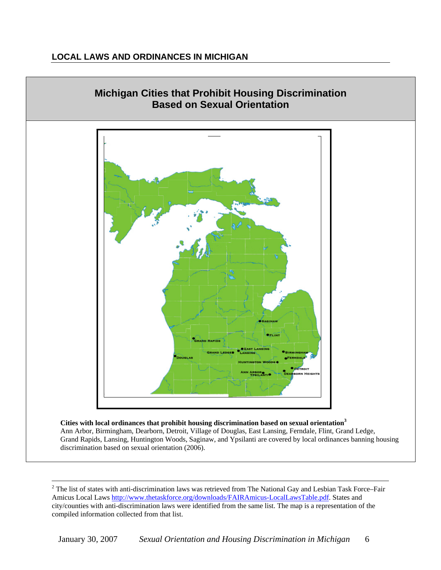#### **LOCAL LAWS AND ORDINANCES IN MICHIGAN**



 **Cities with local ordinances that prohibit housing discrimination based on sexual orientation3** Ann Arbor, Birmingham, Dearborn, Detroit, Village of Douglas, East Lansing, Ferndale, Flint, Grand Ledge, Grand Rapids, Lansing, Huntington Woods, Saginaw, and Ypsilanti are covered by local ordinances banning housing discrimination based on sexual orientation (2006).

 $\frac{1}{2}$  $2$  The list of states with anti-discrimination laws was retrieved from The National Gay and Lesbian Task Force–Fair Amicus Local Laws http://www.thetaskforce.org/downloads/FAIRAmicus-LocalLawsTable.pdf. States and city/counties with anti-discrimination laws were identified from the same list. The map is a representation of the compiled information collected from that list.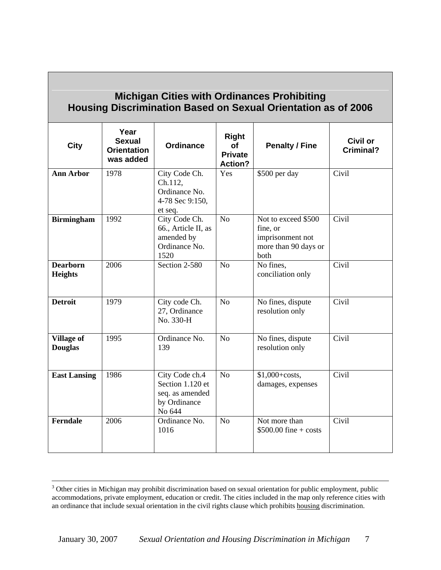| <b>Michigan Cities with Ordinances Prohibiting</b><br><b>Housing Discrimination Based on Sexual Orientation as of 2006</b> |                                                          |                                                                                 |                                                               |                                                                                     |                       |  |  |  |  |  |  |
|----------------------------------------------------------------------------------------------------------------------------|----------------------------------------------------------|---------------------------------------------------------------------------------|---------------------------------------------------------------|-------------------------------------------------------------------------------------|-----------------------|--|--|--|--|--|--|
| <b>City</b>                                                                                                                | Year<br><b>Sexual</b><br><b>Orientation</b><br>was added | <b>Ordinance</b>                                                                | <b>Right</b><br><b>of</b><br><b>Private</b><br><b>Action?</b> | <b>Penalty / Fine</b>                                                               | Civil or<br>Criminal? |  |  |  |  |  |  |
| <b>Ann Arbor</b>                                                                                                           | 1978                                                     | City Code Ch.<br>Ch.112,<br>Ordinance No.<br>4-78 Sec 9:150,<br>et seq.         | Yes                                                           | \$500 per day                                                                       | Civil                 |  |  |  |  |  |  |
| <b>Birmingham</b>                                                                                                          | 1992                                                     | City Code Ch.<br>66., Article II, as<br>amended by<br>Ordinance No.<br>1520     | $\overline{No}$                                               | Not to exceed \$500<br>fine, or<br>imprisonment not<br>more than 90 days or<br>both | Civil                 |  |  |  |  |  |  |
| <b>Dearborn</b><br><b>Heights</b>                                                                                          | 2006                                                     | Section 2-580                                                                   | $\overline{No}$                                               | No fines,<br>conciliation only                                                      | Civil                 |  |  |  |  |  |  |
| <b>Detroit</b>                                                                                                             | 1979                                                     | City code Ch.<br>27, Ordinance<br>No. 330-H                                     | No                                                            | No fines, dispute<br>resolution only                                                | Civil                 |  |  |  |  |  |  |
| <b>Village of</b><br><b>Douglas</b>                                                                                        | 1995                                                     | Ordinance No.<br>139                                                            | N <sub>o</sub>                                                | No fines, dispute<br>resolution only                                                | Civil                 |  |  |  |  |  |  |
| <b>East Lansing</b>                                                                                                        | 1986                                                     | City Code ch.4<br>Section 1.120 et<br>seq. as amended<br>by Ordinance<br>No 644 | $\rm No$                                                      | $$1,000 + costs,$<br>damages, expenses                                              | Civil                 |  |  |  |  |  |  |
| <b>Ferndale</b>                                                                                                            | 2006                                                     | Ordinance No.<br>1016                                                           | N <sub>o</sub>                                                | Not more than<br>$$500.00$ fine + costs                                             | Civil                 |  |  |  |  |  |  |

 $\frac{1}{3}$ <sup>3</sup> Other cities in Michigan may prohibit discrimination based on sexual orientation for public employment, public accommodations, private employment, education or credit. The cities included in the map only reference cities with an ordinance that include sexual orientation in the civil rights clause which prohibits housing discrimination.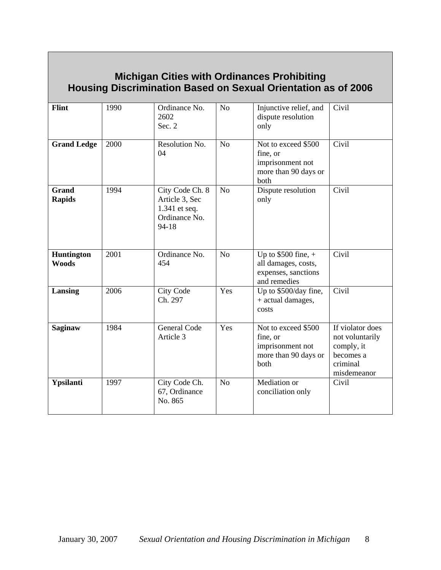## **Michigan Cities with Ordinances Prohibiting Housing Discrimination Based on Sexual Orientation as of 2006**

| <b>Flint</b><br><b>Grand Ledge</b> | 1990<br>2000 | Ordinance No.<br>2602<br>Sec. $2$<br>Resolution No.<br>04                    | N <sub>o</sub><br>No | Injunctive relief, and<br>dispute resolution<br>only<br>Not to exceed \$500<br>fine, or<br>imprisonment not<br>more than 90 days or | Civil<br>Civil                                                                            |
|------------------------------------|--------------|------------------------------------------------------------------------------|----------------------|-------------------------------------------------------------------------------------------------------------------------------------|-------------------------------------------------------------------------------------------|
| <b>Grand</b><br><b>Rapids</b>      | 1994         | City Code Ch. 8<br>Article 3, Sec<br>1.341 et seq.<br>Ordinance No.<br>94-18 | N <sub>o</sub>       | both<br>Dispute resolution<br>only                                                                                                  | Civil                                                                                     |
| Huntington<br><b>Woods</b>         | 2001         | Ordinance No.<br>454                                                         | N <sub>o</sub>       | Up to $$500$ fine, +<br>all damages, costs,<br>expenses, sanctions<br>and remedies                                                  | Civil                                                                                     |
| Lansing                            | 2006         | <b>City Code</b><br>Ch. 297                                                  | Yes                  | Up to \$500/day fine,<br>+ actual damages,<br>costs                                                                                 | Civil                                                                                     |
| <b>Saginaw</b>                     | 1984         | <b>General Code</b><br>Article 3                                             | Yes                  | Not to exceed \$500<br>fine, or<br>imprisonment not<br>more than 90 days or<br>both                                                 | If violator does<br>not voluntarily<br>comply, it<br>becomes a<br>criminal<br>misdemeanor |
| Ypsilanti                          | 1997         | City Code Ch.<br>67, Ordinance<br>No. 865                                    | N <sub>o</sub>       | Mediation or<br>conciliation only                                                                                                   | Civil                                                                                     |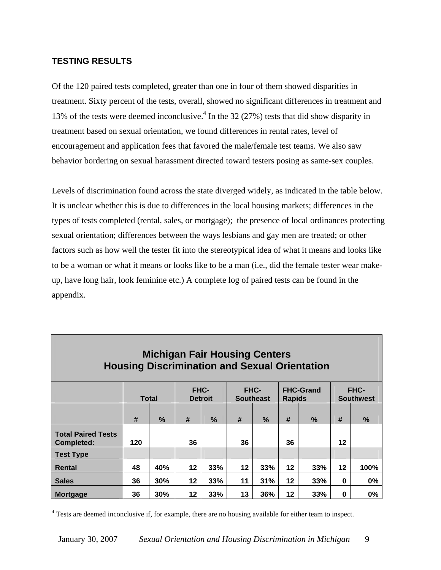#### **TESTING RESULTS**

Of the 120 paired tests completed, greater than one in four of them showed disparities in treatment. Sixty percent of the tests, overall, showed no significant differences in treatment and 13% of the tests were deemed inconclusive.<sup>4</sup> In the 32 (27%) tests that did show disparity in treatment based on sexual orientation, we found differences in rental rates, level of encouragement and application fees that favored the male/female test teams. We also saw behavior bordering on sexual harassment directed toward testers posing as same-sex couples.

Levels of discrimination found across the state diverged widely, as indicated in the table below. It is unclear whether this is due to differences in the local housing markets; differences in the types of tests completed (rental, sales, or mortgage); the presence of local ordinances protecting sexual orientation; differences between the ways lesbians and gay men are treated; or other factors such as how well the tester fit into the stereotypical idea of what it means and looks like to be a woman or what it means or looks like to be a man (i.e., did the female tester wear makeup, have long hair, look feminine etc.) A complete log of paired tests can be found in the appendix.

| <b>Michigan Fair Housing Centers</b><br><b>Housing Discrimination and Sexual Orientation</b> |              |     |    |                               |    |                                 |         |                                   |         |                                 |  |
|----------------------------------------------------------------------------------------------|--------------|-----|----|-------------------------------|----|---------------------------------|---------|-----------------------------------|---------|---------------------------------|--|
|                                                                                              | <b>Total</b> |     |    | <b>FHC-</b><br><b>Detroit</b> |    | <b>FHC-</b><br><b>Southeast</b> |         | <b>FHC-Grand</b><br><b>Rapids</b> |         | <b>FHC-</b><br><b>Southwest</b> |  |
|                                                                                              | #            | %   | #  | $\%$                          | #  | $\%$                            | #       | $\%$                              | #       | $\%$                            |  |
| <b>Total Paired Tests</b><br>Completed:                                                      | 120          |     | 36 |                               | 36 |                                 | 36      |                                   | 12      |                                 |  |
| <b>Test Type</b>                                                                             |              |     |    |                               |    |                                 |         |                                   |         |                                 |  |
| Rental                                                                                       | 48           | 40% | 12 | 33%                           | 12 | 33%                             | $12 \,$ | 33%                               | $12 \,$ | 100%                            |  |
| <b>Sales</b>                                                                                 | 36           | 30% | 12 | 33%                           | 11 | 31%                             | $12 \,$ | 33%                               | 0       | 0%                              |  |
| <b>Mortgage</b>                                                                              | 36           | 30% | 12 | 33%                           | 13 | 36%                             | $12 \,$ | 33%                               | 0       | 0%                              |  |

 $\overline{a}$ <sup>4</sup> Tests are deemed inconclusive if, for example, there are no housing available for either team to inspect.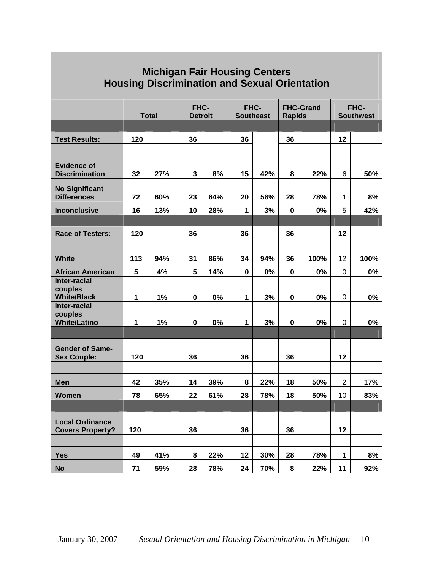| <b>Michigan Fair Housing Centers</b><br><b>Housing Discrimination and Sexual Orientation</b> |     |              |                        |     |                          |       |                                   |       |                          |       |
|----------------------------------------------------------------------------------------------|-----|--------------|------------------------|-----|--------------------------|-------|-----------------------------------|-------|--------------------------|-------|
|                                                                                              |     | <b>Total</b> | FHC-<br><b>Detroit</b> |     | FHC-<br><b>Southeast</b> |       | <b>FHC-Grand</b><br><b>Rapids</b> |       | FHC-<br><b>Southwest</b> |       |
|                                                                                              |     |              |                        |     |                          |       |                                   |       |                          |       |
| <b>Test Results:</b>                                                                         | 120 |              | 36                     |     | 36                       |       | 36                                |       | 12                       |       |
|                                                                                              |     |              |                        |     |                          |       |                                   |       |                          |       |
| <b>Evidence of</b><br><b>Discrimination</b>                                                  | 32  | 27%          | 3                      | 8%  | 15                       | 42%   | 8                                 | 22%   | 6                        | 50%   |
| <b>No Significant</b><br><b>Differences</b>                                                  | 72  | 60%          | 23                     | 64% | 20                       | 56%   | 28                                | 78%   | 1                        | 8%    |
| <b>Inconclusive</b>                                                                          | 16  | 13%          | 10                     | 28% | 1                        | 3%    | $\mathbf 0$                       | 0%    | 5                        | 42%   |
|                                                                                              |     |              |                        |     |                          |       |                                   |       |                          |       |
| <b>Race of Testers:</b>                                                                      | 120 |              | 36                     |     | 36                       |       | 36                                |       | 12                       |       |
|                                                                                              |     |              |                        |     |                          |       |                                   |       |                          |       |
| <b>White</b>                                                                                 | 113 | 94%          | 31                     | 86% | 34                       | 94%   | 36                                | 100%  | 12                       | 100%  |
| <b>African American</b>                                                                      | 5   | 4%           | 5                      | 14% | 0                        | $0\%$ | 0                                 | $0\%$ | 0                        | $0\%$ |
| <b>Inter-racial</b><br>couples<br><b>White/Black</b>                                         | 1   | 1%           | $\pmb{0}$              | 0%  | 1                        | 3%    | $\pmb{0}$                         | 0%    | 0                        | 0%    |
| <b>Inter-racial</b><br>couples                                                               |     |              |                        |     |                          |       |                                   |       |                          |       |
| <b>White/Latino</b>                                                                          | 1   | 1%           | 0                      | 0%  | 1                        | 3%    | $\mathbf 0$                       | 0%    | 0                        | 0%    |
|                                                                                              |     |              |                        |     |                          |       |                                   |       |                          |       |
| <b>Gender of Same-</b>                                                                       |     |              |                        |     |                          |       |                                   |       |                          |       |
| <b>Sex Couple:</b>                                                                           | 120 |              | 36                     |     | 36                       |       | 36                                |       | 12                       |       |
| <b>Men</b>                                                                                   | 42  | 35%          | 14                     | 39% | 8                        | 22%   | 18                                | 50%   | $\overline{2}$           | 17%   |
| <b>Women</b>                                                                                 | 78  | 65%          | 22                     | 61% | 28                       | 78%   | 18                                | 50%   | 10 <sup>1</sup>          | 83%   |
|                                                                                              |     |              |                        |     |                          |       |                                   |       |                          |       |
|                                                                                              |     |              |                        |     |                          |       |                                   |       |                          |       |
| <b>Local Ordinance</b><br><b>Covers Property?</b>                                            | 120 |              | 36                     |     | 36                       |       | 36                                |       | 12                       |       |
|                                                                                              |     |              |                        |     |                          |       |                                   |       |                          |       |
| <b>Yes</b>                                                                                   | 49  | 41%          | 8                      | 22% | 12                       | 30%   | 28                                | 78%   | 1                        | 8%    |
| <b>No</b>                                                                                    | 71  | 59%          | 28                     | 78% | 24                       | 70%   | 8                                 | 22%   | 11                       | 92%   |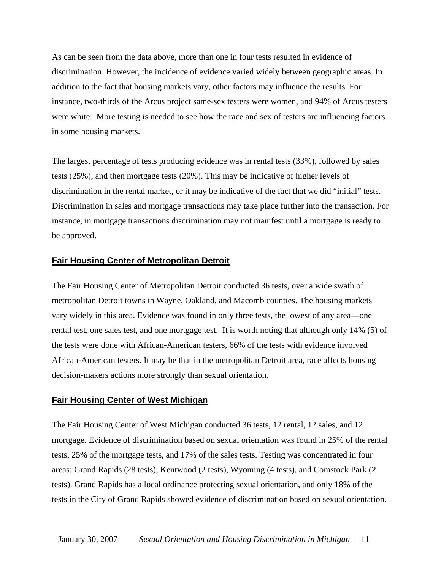As can be seen from the data above, more than one in four tests resulted in evidence of discrimination. However, the incidence of evidence varied widely between geographic areas. In addition to the fact that housing markets vary, other factors may influence the results. For instance, two-thirds of the Arcus project same-sex testers were women, and 94% of Arcus testers were white. More testing is needed to see how the race and sex of testers are influencing factors in some housing markets.

The largest percentage of tests producing evidence was in rental tests (33%), followed by sales tests (25%), and then mortgage tests (20%). This may be indicative of higher levels of discrimination in the rental market, or it may be indicative of the fact that we did "initial" tests. Discrimination in sales and mortgage transactions may take place further into the transaction. For instance, in mortgage transactions discrimination may not manifest until a mortgage is ready to be approved.

#### **Fair Housing Center of Metropolitan Detroit**

The Fair Housing Center of Metropolitan Detroit conducted 36 tests, over a wide swath of metropolitan Detroit towns in Wayne, Oakland, and Macomb counties. The housing markets vary widely in this area. Evidence was found in only three tests, the lowest of any area—one rental test, one sales test, and one mortgage test. It is worth noting that although only 14% (5) of the tests were done with African-American testers, 66% of the tests with evidence involved African-American testers. It may be that in the metropolitan Detroit area, race affects housing decision-makers actions more strongly than sexual orientation.

#### **Fair Housing Center of West Michigan**

The Fair Housing Center of West Michigan conducted 36 tests, 12 rental, 12 sales, and 12 mortgage. Evidence of discrimination based on sexual orientation was found in 25% of the rental tests, 25% of the mortgage tests, and 17% of the sales tests. Testing was concentrated in four areas: Grand Rapids (28 tests), Kentwood (2 tests), Wyoming (4 tests), and Comstock Park (2 tests). Grand Rapids has a local ordinance protecting sexual orientation, and only 18% of the tests in the City of Grand Rapids showed evidence of discrimination based on sexual orientation.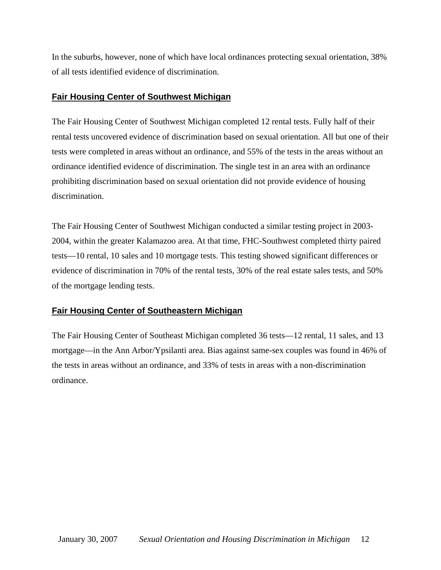In the suburbs, however, none of which have local ordinances protecting sexual orientation, 38% of all tests identified evidence of discrimination.

#### **Fair Housing Center of Southwest Michigan**

The Fair Housing Center of Southwest Michigan completed 12 rental tests. Fully half of their rental tests uncovered evidence of discrimination based on sexual orientation. All but one of their tests were completed in areas without an ordinance, and 55% of the tests in the areas without an ordinance identified evidence of discrimination. The single test in an area with an ordinance prohibiting discrimination based on sexual orientation did not provide evidence of housing discrimination.

The Fair Housing Center of Southwest Michigan conducted a similar testing project in 2003- 2004, within the greater Kalamazoo area. At that time, FHC-Southwest completed thirty paired tests—10 rental, 10 sales and 10 mortgage tests. This testing showed significant differences or evidence of discrimination in 70% of the rental tests, 30% of the real estate sales tests, and 50% of the mortgage lending tests.

#### **Fair Housing Center of Southeastern Michigan**

The Fair Housing Center of Southeast Michigan completed 36 tests—12 rental, 11 sales, and 13 mortgage—in the Ann Arbor/Ypsilanti area. Bias against same-sex couples was found in 46% of the tests in areas without an ordinance, and 33% of tests in areas with a non-discrimination ordinance.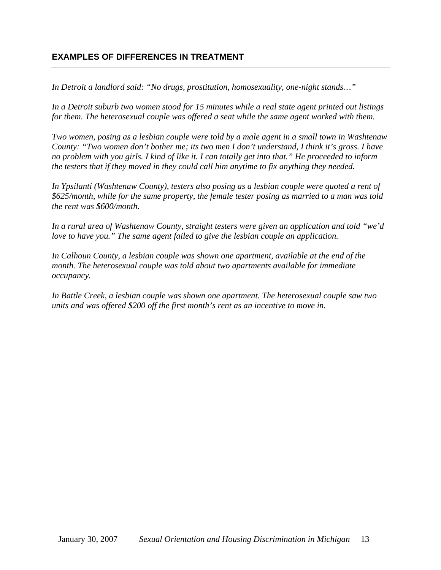#### **EXAMPLES OF DIFFERENCES IN TREATMENT**

*In Detroit a landlord said: "No drugs, prostitution, homosexuality, one-night stands…"* 

*In a Detroit suburb two women stood for 15 minutes while a real state agent printed out listings for them. The heterosexual couple was offered a seat while the same agent worked with them.* 

*Two women, posing as a lesbian couple were told by a male agent in a small town in Washtenaw County: "Two women don't bother me; its two men I don't understand, I think it's gross. I have no problem with you girls. I kind of like it. I can totally get into that." He proceeded to inform the testers that if they moved in they could call him anytime to fix anything they needed.* 

*In Ypsilanti (Washtenaw County), testers also posing as a lesbian couple were quoted a rent of \$625/month, while for the same property, the female tester posing as married to a man was told the rent was \$600/month.* 

*In a rural area of Washtenaw County, straight testers were given an application and told "we'd love to have you.*" The same agent failed to give the lesbian couple an application.

*In Calhoun County, a lesbian couple was shown one apartment, available at the end of the month. The heterosexual couple was told about two apartments available for immediate occupancy.* 

*In Battle Creek, a lesbian couple was shown one apartment. The heterosexual couple saw two units and was offered \$200 off the first month's rent as an incentive to move in.*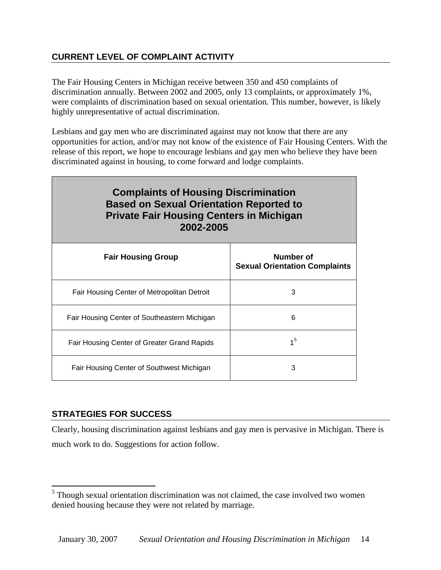### **CURRENT LEVEL OF COMPLAINT ACTIVITY**

The Fair Housing Centers in Michigan receive between 350 and 450 complaints of discrimination annually. Between 2002 and 2005, only 13 complaints, or approximately 1%, were complaints of discrimination based on sexual orientation. This number, however, is likely highly unrepresentative of actual discrimination.

Lesbians and gay men who are discriminated against may not know that there are any opportunities for action, and/or may not know of the existence of Fair Housing Centers. With the release of this report, we hope to encourage lesbians and gay men who believe they have been discriminated against in housing, to come forward and lodge complaints.

| <b>Complaints of Housing Discrimination</b><br><b>Based on Sexual Orientation Reported to</b><br><b>Private Fair Housing Centers in Michigan</b><br>2002-2005 |                                                   |  |  |  |  |  |  |  |  |
|---------------------------------------------------------------------------------------------------------------------------------------------------------------|---------------------------------------------------|--|--|--|--|--|--|--|--|
| <b>Fair Housing Group</b>                                                                                                                                     | Number of<br><b>Sexual Orientation Complaints</b> |  |  |  |  |  |  |  |  |
| Fair Housing Center of Metropolitan Detroit                                                                                                                   | 3                                                 |  |  |  |  |  |  |  |  |
| Fair Housing Center of Southeastern Michigan                                                                                                                  | 6                                                 |  |  |  |  |  |  |  |  |
| Fair Housing Center of Greater Grand Rapids                                                                                                                   | 1 <sup>5</sup>                                    |  |  |  |  |  |  |  |  |
| Fair Housing Center of Southwest Michigan                                                                                                                     | 3                                                 |  |  |  |  |  |  |  |  |

#### **STRATEGIES FOR SUCCESS**

 $\overline{a}$ 

Clearly, housing discrimination against lesbians and gay men is pervasive in Michigan. There is much work to do. Suggestions for action follow.

 $<sup>5</sup>$  Though sexual orientation discrimination was not claimed, the case involved two women</sup> denied housing because they were not related by marriage.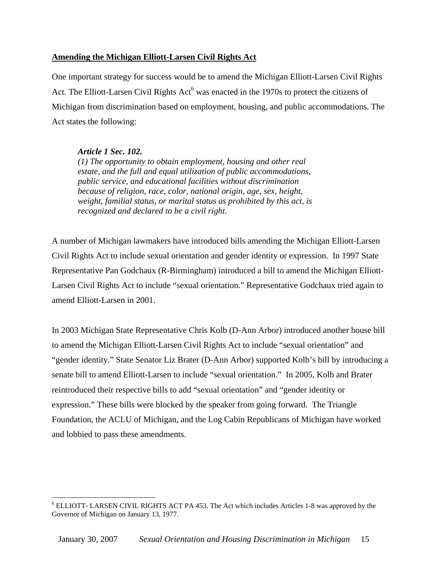#### **Amending the Michigan Elliott-Larsen Civil Rights Act**

One important strategy for success would be to amend the Michigan Elliott-Larsen Civil Rights Act. The Elliott-Larsen Civil Rights  $Act^6$  was enacted in the 1970s to protect the citizens of Michigan from discrimination based on employment, housing, and public accommodations. The Act states the following:

#### *Article 1 Sec. 102.*

1

*(1) The opportunity to obtain employment, housing and other real estate, and the full and equal utilization of public accommodations, public service, and educational facilities without discrimination because of religion, race, color, national origin, age, sex, height, weight, familial status, or marital status as prohibited by this act, is recognized and declared to be a civil right.* 

A number of Michigan lawmakers have introduced bills amending the Michigan Elliott-Larsen Civil Rights Act to include sexual orientation and gender identity or expression. In 1997 State Representative Pan Godchaux (R-Birmingham) introduced a bill to amend the Michigan Elliott-Larsen Civil Rights Act to include "sexual orientation." Representative Godchaux tried again to amend Elliott-Larsen in 2001.

In 2003 Michigan State Representative Chris Kolb (D-Ann Arbor) introduced another house bill to amend the Michigan Elliott-Larsen Civil Rights Act to include "sexual orientation" and "gender identity." State Senator Liz Brater (D-Ann Arbor) supported Kolb's bill by introducing a senate bill to amend Elliott-Larsen to include "sexual orientation." In 2005, Kolb and Brater reintroduced their respective bills to add "sexual orientation" and "gender identity or expression." These bills were blocked by the speaker from going forward. The Triangle Foundation, the ACLU of Michigan, and the Log Cabin Republicans of Michigan have worked and lobbied to pass these amendments.

<sup>&</sup>lt;sup>6</sup> ELLIOTT- LARSEN CIVIL RIGHTS ACT PA 453. The Act which includes Articles 1-8 was approved by the Governor of Michigan on January 13, 1977.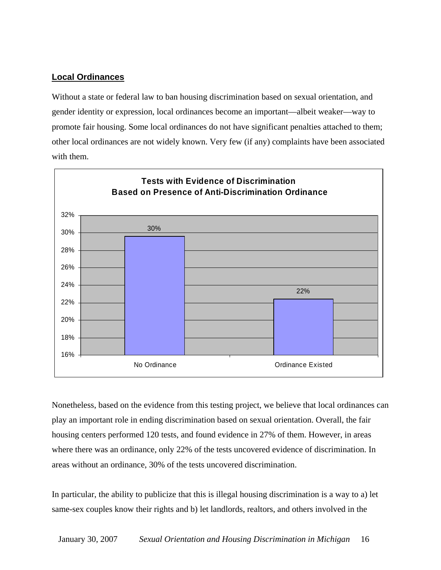#### **Local Ordinances**

Without a state or federal law to ban housing discrimination based on sexual orientation, and gender identity or expression, local ordinances become an important—albeit weaker—way to promote fair housing. Some local ordinances do not have significant penalties attached to them; other local ordinances are not widely known. Very few (if any) complaints have been associated with them.



Nonetheless, based on the evidence from this testing project, we believe that local ordinances can play an important role in ending discrimination based on sexual orientation. Overall, the fair housing centers performed 120 tests, and found evidence in 27% of them. However, in areas where there was an ordinance, only 22% of the tests uncovered evidence of discrimination. In areas without an ordinance, 30% of the tests uncovered discrimination.

In particular, the ability to publicize that this is illegal housing discrimination is a way to a) let same-sex couples know their rights and b) let landlords, realtors, and others involved in the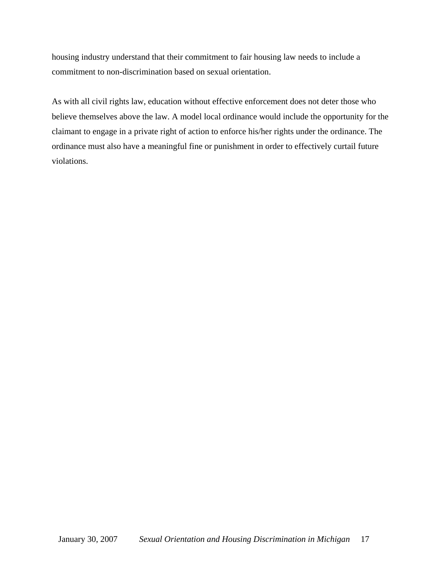housing industry understand that their commitment to fair housing law needs to include a commitment to non-discrimination based on sexual orientation.

As with all civil rights law, education without effective enforcement does not deter those who believe themselves above the law. A model local ordinance would include the opportunity for the claimant to engage in a private right of action to enforce his/her rights under the ordinance. The ordinance must also have a meaningful fine or punishment in order to effectively curtail future violations.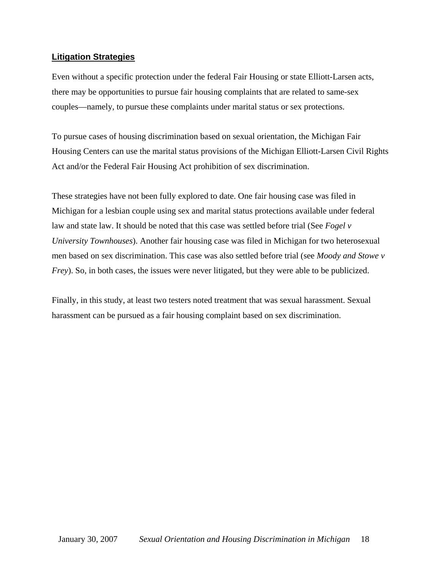#### **Litigation Strategies**

Even without a specific protection under the federal Fair Housing or state Elliott-Larsen acts, there may be opportunities to pursue fair housing complaints that are related to same-sex couples—namely, to pursue these complaints under marital status or sex protections.

To pursue cases of housing discrimination based on sexual orientation, the Michigan Fair Housing Centers can use the marital status provisions of the Michigan Elliott-Larsen Civil Rights Act and/or the Federal Fair Housing Act prohibition of sex discrimination.

These strategies have not been fully explored to date. One fair housing case was filed in Michigan for a lesbian couple using sex and marital status protections available under federal law and state law. It should be noted that this case was settled before trial (See *Fogel v University Townhouses*). Another fair housing case was filed in Michigan for two heterosexual men based on sex discrimination. This case was also settled before trial (see *Moody and Stowe v Frey*). So, in both cases, the issues were never litigated, but they were able to be publicized.

Finally, in this study, at least two testers noted treatment that was sexual harassment. Sexual harassment can be pursued as a fair housing complaint based on sex discrimination.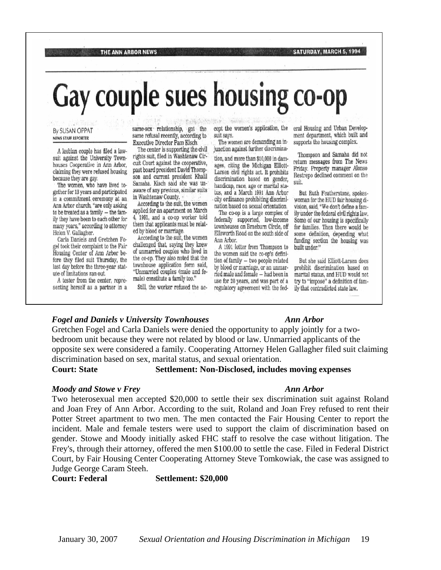Gay couple sues housing co-op

#### By SUSAN OPPAT NEWS STAFF REPORTER

A lesbian couple has filed a lawsuit against the University Townhouses Cooperative in Ann Arbor, claiming they were refused housing because they are gay.

The women, who have lived together for 13 years and participated in a commitment ceremony at an Ann Arbor church, "are only asking to be treated as a family - the family they have been to each other for many years," according to attorney Helen V. Gallagher.

Carla Daniels and Gretchen Fogel took their complaint to the Fair Housing Center of Ann Arbor before they filed suit Thursday, the last day before the three-year statute of limitations ran out.

A tester from the center, representing herself as a partner in a same-sex relationship, got the same refusal recently, according to Executive Director Pam Kisch.

The center is supporting the civil rights suit, filed in Washtenaw Circuit Court against the cooperative, past board president David Thompson and current president Khalil Samaha. Kisch said she was unaware of any previous, similar suits in Washtenaw County.

According to the suit, the women applied for an apartment on March 4, 1991, and a co-op worker told them that applicants must be related by blood or marriage.

According to the suit, the women challenged that, saying they knew of unmarried couples who lived in the co-op. They also noted that the townhouse application form said, "Unmarried couples (male and female) constitute a family too."

Still, the worker refused the ac-

cept the women's application, the suit says.

The women are demanding an injunction against further discrimina-

tion, and more than \$10,000 in damages, citing the Michigan Elliott-Larsen civil rights act. It prohibits discrimination based on gender, handicap, race, age or marital status, and a March 1991 Ann Arbor city ordinance prohibiting discrimination based on sexual orientation.

The co-op is a large complex of federally supported, low-income townhouses on Braeburn Circle, off Ellsworth Road on the south side of Ann Arbor.

A 1991 letter from Thompson to the women said the co-op's definition of family - two people related by blood or marriage, or an unmarried male and female - had been in use for 20 years, and was part of a regulatory agreement with the federal Housing and Urban Development department, which built and supports the housing complex.

SATURDAY, MARCH 5, 1994

Thompson and Samaha did not return messages from The News Friday. Property manager Alonso Restrepo declined comment on the suit.

But Ruth Featherstone, spokeswoman for the HUD fair housing division, said, "We don't define a family under the federal civil rights law. Some of our housing is specifically for families. Then there would be some definition, depending what funding section the housing was built under."

But she said Elliott-Larsen does prohibit discrimination based on marital status, and HUD would not try to "impose" a definition of family that contradicted state law.

#### *Fogel and Daniels v University Townhouses Ann Arbor*

THE ANN ARBOR NEWS

Gretchen Fogel and Carla Daniels were denied the opportunity to apply jointly for a twobedroom unit because they were not related by blood or law. Unmarried applicants of the opposite sex were considered a family. Cooperating Attorney Helen Gallagher filed suit claiming discrimination based on sex, marital status, and sexual orientation.

#### **Court: State Settlement: Non-Disclosed, includes moving expenses**

#### *Moody and Stowe v Frey Ann Arbor*

Two heterosexual men accepted \$20,000 to settle their sex discrimination suit against Roland and Joan Frey of Ann Arbor. According to the suit, Roland and Joan Frey refused to rent their Potter Street apartment to two men. The men contacted the Fair Housing Center to report the incident. Male and female testers were used to support the claim of discrimination based on gender. Stowe and Moody initially asked FHC staff to resolve the case without litigation. The Frey's, through their attorney, offered the men \$100.00 to settle the case. Filed in Federal District Court, by Fair Housing Center Cooperating Attorney Steve Tomkowiak, the case was assigned to Judge George Caram Steeh.

**Court: Federal Settlement: \$20,000**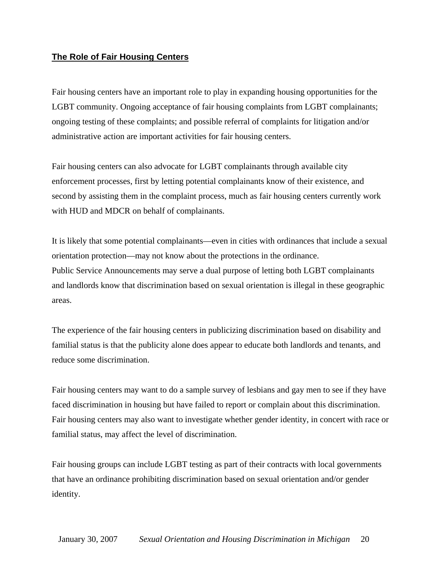#### **The Role of Fair Housing Centers**

Fair housing centers have an important role to play in expanding housing opportunities for the LGBT community. Ongoing acceptance of fair housing complaints from LGBT complainants; ongoing testing of these complaints; and possible referral of complaints for litigation and/or administrative action are important activities for fair housing centers.

Fair housing centers can also advocate for LGBT complainants through available city enforcement processes, first by letting potential complainants know of their existence, and second by assisting them in the complaint process, much as fair housing centers currently work with HUD and MDCR on behalf of complainants.

It is likely that some potential complainants—even in cities with ordinances that include a sexual orientation protection—may not know about the protections in the ordinance. Public Service Announcements may serve a dual purpose of letting both LGBT complainants and landlords know that discrimination based on sexual orientation is illegal in these geographic areas.

The experience of the fair housing centers in publicizing discrimination based on disability and familial status is that the publicity alone does appear to educate both landlords and tenants, and reduce some discrimination.

Fair housing centers may want to do a sample survey of lesbians and gay men to see if they have faced discrimination in housing but have failed to report or complain about this discrimination. Fair housing centers may also want to investigate whether gender identity, in concert with race or familial status, may affect the level of discrimination.

Fair housing groups can include LGBT testing as part of their contracts with local governments that have an ordinance prohibiting discrimination based on sexual orientation and/or gender identity.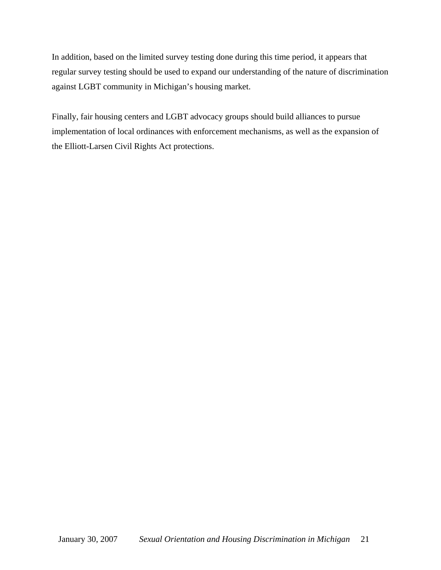In addition, based on the limited survey testing done during this time period, it appears that regular survey testing should be used to expand our understanding of the nature of discrimination against LGBT community in Michigan's housing market.

Finally, fair housing centers and LGBT advocacy groups should build alliances to pursue implementation of local ordinances with enforcement mechanisms, as well as the expansion of the Elliott-Larsen Civil Rights Act protections.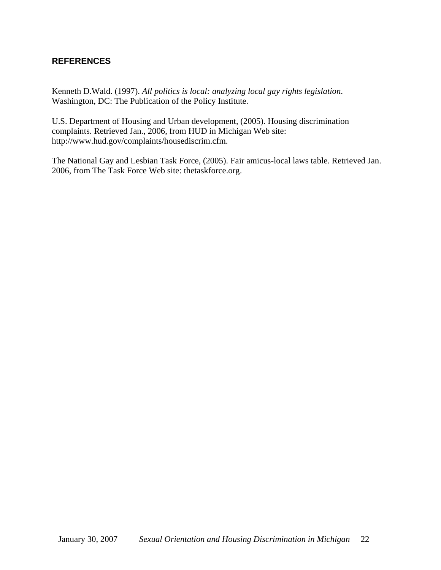#### **REFERENCES**

Kenneth D.Wald. (1997). *All politics is local: analyzing local gay rights legislation*. Washington, DC: The Publication of the Policy Institute.

U.S. Department of Housing and Urban development, (2005). Housing discrimination complaints. Retrieved Jan., 2006, from HUD in Michigan Web site: http://www.hud.gov/complaints/housediscrim.cfm.

The National Gay and Lesbian Task Force, (2005). Fair amicus-local laws table. Retrieved Jan. 2006, from The Task Force Web site: thetaskforce.org.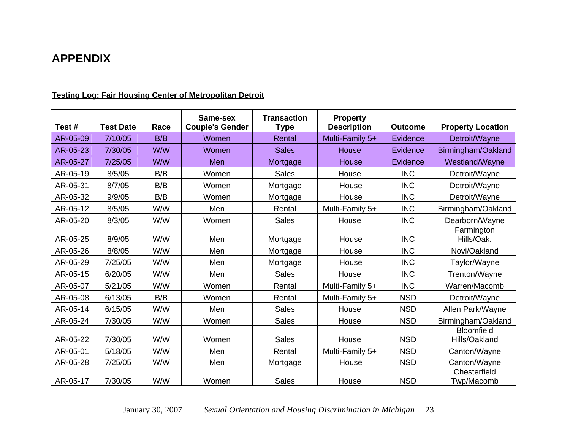# **APPENDIX**

| Test#    | <b>Test Date</b> | Race | Same-sex<br><b>Couple's Gender</b> | <b>Transaction</b><br><b>Type</b> | <b>Property</b><br><b>Description</b> | <b>Outcome</b> | <b>Property Location</b>           |
|----------|------------------|------|------------------------------------|-----------------------------------|---------------------------------------|----------------|------------------------------------|
| AR-05-09 | 7/10/05          | B/B  | Women                              | Rental                            | Multi-Family 5+                       | Evidence       | Detroit/Wayne                      |
| AR-05-23 | 7/30/05          | W/W  | Women                              | <b>Sales</b>                      | House                                 | Evidence       | Birmingham/Oakland                 |
| AR-05-27 | 7/25/05          | W/W  | Men                                | Mortgage                          | House                                 | Evidence       | Westland/Wayne                     |
| AR-05-19 | 8/5/05           | B/B  | Women                              | <b>Sales</b>                      | House                                 | <b>INC</b>     | Detroit/Wayne                      |
| AR-05-31 | 8/7/05           | B/B  | Women                              | Mortgage                          | House                                 | <b>INC</b>     | Detroit/Wayne                      |
| AR-05-32 | 9/9/05           | B/B  | Women                              | Mortgage                          | House                                 | <b>INC</b>     | Detroit/Wayne                      |
| AR-05-12 | 8/5/05           | W/W  | Men                                | Rental                            | Multi-Family 5+                       | <b>INC</b>     | Birmingham/Oakland                 |
| AR-05-20 | 8/3/05           | W/W  | Women                              | <b>Sales</b>                      | House                                 | <b>INC</b>     | Dearborn/Wayne                     |
| AR-05-25 | 8/9/05           | W/W  | Men                                | Mortgage                          | House                                 | <b>INC</b>     | Farmington<br>Hills/Oak.           |
| AR-05-26 | 8/8/05           | W/W  | Men                                | Mortgage                          | House                                 | <b>INC</b>     | Novi/Oakland                       |
| AR-05-29 | 7/25/05          | W/W  | Men                                | Mortgage                          | House                                 | <b>INC</b>     | Taylor/Wayne                       |
| AR-05-15 | 6/20/05          | W/W  | Men                                | <b>Sales</b>                      | House                                 | <b>INC</b>     | Trenton/Wayne                      |
| AR-05-07 | 5/21/05          | W/W  | Women                              | Rental                            | Multi-Family 5+                       | <b>INC</b>     | Warren/Macomb                      |
| AR-05-08 | 6/13/05          | B/B  | Women                              | Rental                            | Multi-Family 5+                       | <b>NSD</b>     | Detroit/Wayne                      |
| AR-05-14 | 6/15/05          | W/W  | Men                                | <b>Sales</b>                      | House                                 | <b>NSD</b>     | Allen Park/Wayne                   |
| AR-05-24 | 7/30/05          | W/W  | Women                              | <b>Sales</b>                      | House                                 | <b>NSD</b>     | Birmingham/Oakland                 |
| AR-05-22 | 7/30/05          | W/W  | Women                              | <b>Sales</b>                      | House                                 | <b>NSD</b>     | <b>Bloomfield</b><br>Hills/Oakland |
| AR-05-01 | 5/18/05          | W/W  | Men                                | Rental                            | Multi-Family 5+                       | <b>NSD</b>     | Canton/Wayne                       |
| AR-05-28 | 7/25/05          | W/W  | Men                                | Mortgage                          | House                                 | <b>NSD</b>     | Canton/Wayne                       |
| AR-05-17 | 7/30/05          | W/W  | Women                              | <b>Sales</b>                      | House                                 | <b>NSD</b>     | Chesterfield<br>Twp/Macomb         |

#### **Testing Log: Fair Housing Center of Metropolitan Detroit**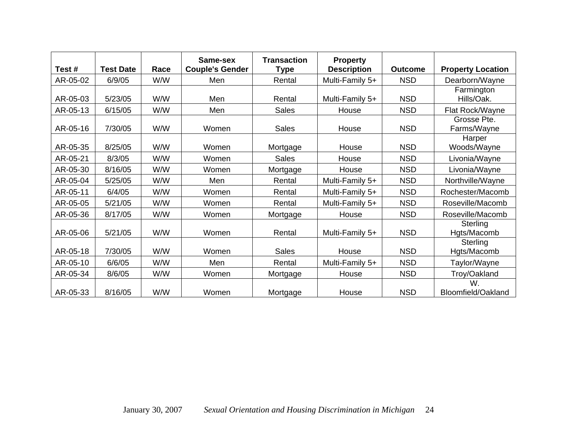|          |                  |      | Same-sex               | <b>Transaction</b> | <b>Property</b>    |                |                            |
|----------|------------------|------|------------------------|--------------------|--------------------|----------------|----------------------------|
| Test#    | <b>Test Date</b> | Race | <b>Couple's Gender</b> | <b>Type</b>        | <b>Description</b> | <b>Outcome</b> | <b>Property Location</b>   |
| AR-05-02 | 6/9/05           | W/W  | Men                    | Rental             | Multi-Family 5+    | <b>NSD</b>     | Dearborn/Wayne             |
| AR-05-03 | 5/23/05          | W/W  | Men                    | Rental             | Multi-Family 5+    | <b>NSD</b>     | Farmington<br>Hills/Oak.   |
|          |                  | W/W  | Men                    |                    |                    | <b>NSD</b>     |                            |
| AR-05-13 | 6/15/05          |      |                        | <b>Sales</b>       | House              |                | Flat Rock/Wayne            |
| AR-05-16 | 7/30/05          | W/W  | Women                  | <b>Sales</b>       | House              | <b>NSD</b>     | Grosse Pte.<br>Farms/Wayne |
| AR-05-35 | 8/25/05          | W/W  | Women                  | Mortgage           | House              | <b>NSD</b>     | Harper<br>Woods/Wayne      |
| AR-05-21 | 8/3/05           | W/W  | Women                  | <b>Sales</b>       | House              | <b>NSD</b>     | Livonia/Wayne              |
| AR-05-30 | 8/16/05          | W/W  | Women                  | Mortgage           | House              | <b>NSD</b>     | Livonia/Wayne              |
| AR-05-04 | 5/25/05          | W/W  | Men                    | Rental             | Multi-Family 5+    | <b>NSD</b>     | Northville/Wayne           |
| AR-05-11 | 6/4/05           | W/W  | Women                  | Rental             | Multi-Family 5+    | <b>NSD</b>     | Rochester/Macomb           |
| AR-05-05 | 5/21/05          | W/W  | Women                  | Rental             | Multi-Family 5+    | <b>NSD</b>     | Roseville/Macomb           |
| AR-05-36 | 8/17/05          | W/W  | Women                  | Mortgage           | House              | <b>NSD</b>     | Roseville/Macomb           |
| AR-05-06 | 5/21/05          | W/W  | Women                  | Rental             | Multi-Family 5+    | <b>NSD</b>     | Sterling<br>Hgts/Macomb    |
| AR-05-18 | 7/30/05          | W/W  | Women                  | <b>Sales</b>       | House              | <b>NSD</b>     | Sterling<br>Hgts/Macomb    |
| AR-05-10 | 6/6/05           | W/W  | Men                    | Rental             | Multi-Family 5+    | <b>NSD</b>     | Taylor/Wayne               |
| AR-05-34 | 8/6/05           | W/W  | Women                  | Mortgage           | House              | <b>NSD</b>     | Troy/Oakland               |
| AR-05-33 | 8/16/05          | W/W  | Women                  | Mortgage           | House              | <b>NSD</b>     | W.<br>Bloomfield/Oakland   |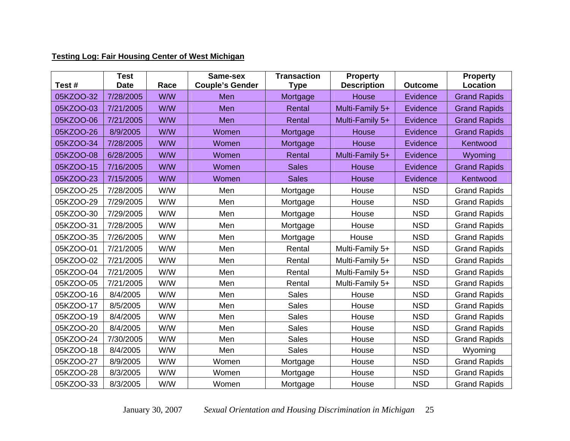#### **Testing Log: Fair Housing Center of West Michigan**

| Test#     | <b>Test</b><br><b>Date</b> | Race | Same-sex<br><b>Couple's Gender</b> | <b>Transaction</b><br><b>Type</b> | <b>Property</b><br><b>Description</b> | <b>Outcome</b> | <b>Property</b><br>Location |
|-----------|----------------------------|------|------------------------------------|-----------------------------------|---------------------------------------|----------------|-----------------------------|
| 05KZOO-32 | 7/28/2005                  | W/W  | Men                                | Mortgage                          | House                                 | Evidence       | <b>Grand Rapids</b>         |
| 05KZOO-03 | 7/21/2005                  | W/W  | Men                                | Rental                            | Multi-Family 5+                       | Evidence       | <b>Grand Rapids</b>         |
| 05KZOO-06 | 7/21/2005                  | W/W  | Men                                | Rental                            | Multi-Family 5+                       | Evidence       | <b>Grand Rapids</b>         |
| 05KZOO-26 | 8/9/2005                   | W/W  | Women                              | Mortgage                          | <b>House</b>                          | Evidence       | <b>Grand Rapids</b>         |
| 05KZOO-34 | 7/28/2005                  | W/W  | Women                              | Mortgage                          | House                                 | Evidence       | Kentwood                    |
| 05KZOO-08 | 6/28/2005                  | W/W  | Women                              | Rental                            | Multi-Family 5+                       | Evidence       | Wyoming                     |
| 05KZOO-15 | 7/16/2005                  | W/W  | Women                              | <b>Sales</b>                      | <b>House</b>                          | Evidence       | <b>Grand Rapids</b>         |
| 05KZOO-23 | 7/15/2005                  | W/W  | Women                              | <b>Sales</b>                      | House                                 | Evidence       | Kentwood                    |
| 05KZOO-25 | 7/28/2005                  | W/W  | Men                                | Mortgage                          | House                                 | <b>NSD</b>     | <b>Grand Rapids</b>         |
| 05KZOO-29 | 7/29/2005                  | W/W  | Men                                | Mortgage                          | House                                 | <b>NSD</b>     | <b>Grand Rapids</b>         |
| 05KZOO-30 | 7/29/2005                  | W/W  | Men                                | Mortgage                          | House                                 | <b>NSD</b>     | <b>Grand Rapids</b>         |
| 05KZOO-31 | 7/28/2005                  | W/W  | Men                                | Mortgage                          | House                                 | <b>NSD</b>     | <b>Grand Rapids</b>         |
| 05KZOO-35 | 7/26/2005                  | W/W  | Men                                | Mortgage                          | House                                 | <b>NSD</b>     | <b>Grand Rapids</b>         |
| 05KZOO-01 | 7/21/2005                  | W/W  | Men                                | Rental                            | Multi-Family 5+                       | <b>NSD</b>     | <b>Grand Rapids</b>         |
| 05KZOO-02 | 7/21/2005                  | W/W  | Men                                | Rental                            | Multi-Family 5+                       | <b>NSD</b>     | <b>Grand Rapids</b>         |
| 05KZOO-04 | 7/21/2005                  | W/W  | Men                                | Rental                            | Multi-Family 5+                       | <b>NSD</b>     | <b>Grand Rapids</b>         |
| 05KZOO-05 | 7/21/2005                  | W/W  | Men                                | Rental                            | Multi-Family 5+                       | <b>NSD</b>     | <b>Grand Rapids</b>         |
| 05KZOO-16 | 8/4/2005                   | W/W  | Men                                | Sales                             | House                                 | <b>NSD</b>     | <b>Grand Rapids</b>         |
| 05KZOO-17 | 8/5/2005                   | W/W  | Men                                | <b>Sales</b>                      | House                                 | <b>NSD</b>     | <b>Grand Rapids</b>         |
| 05KZOO-19 | 8/4/2005                   | W/W  | Men                                | <b>Sales</b>                      | House                                 | <b>NSD</b>     | <b>Grand Rapids</b>         |
| 05KZOO-20 | 8/4/2005                   | W/W  | Men                                | <b>Sales</b>                      | House                                 | <b>NSD</b>     | <b>Grand Rapids</b>         |
| 05KZOO-24 | 7/30/2005                  | W/W  | Men                                | <b>Sales</b>                      | House                                 | <b>NSD</b>     | <b>Grand Rapids</b>         |
| 05KZOO-18 | 8/4/2005                   | W/W  | Men                                | Sales                             | House                                 | <b>NSD</b>     | Wyoming                     |
| 05KZOO-27 | 8/9/2005                   | W/W  | Women                              | Mortgage                          | House                                 | <b>NSD</b>     | <b>Grand Rapids</b>         |
| 05KZOO-28 | 8/3/2005                   | W/W  | Women                              | Mortgage                          | House                                 | <b>NSD</b>     | <b>Grand Rapids</b>         |
| 05KZOO-33 | 8/3/2005                   | W/W  | Women                              | Mortgage                          | House                                 | <b>NSD</b>     | <b>Grand Rapids</b>         |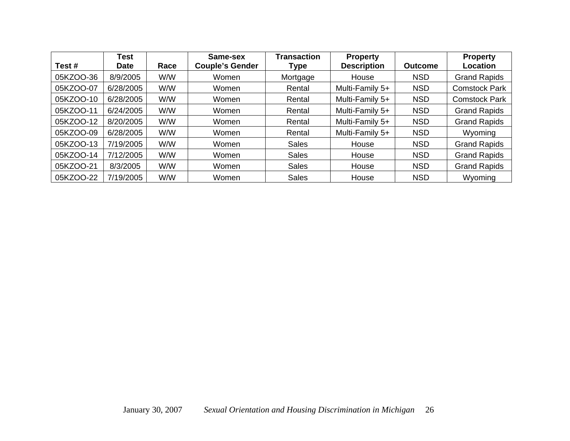| Test#     | <b>Test</b><br><b>Date</b> | Race | Same-sex<br><b>Couple's Gender</b> | <b>Transaction</b><br>Type | <b>Property</b><br><b>Description</b> | <b>Outcome</b> | <b>Property</b><br>Location |
|-----------|----------------------------|------|------------------------------------|----------------------------|---------------------------------------|----------------|-----------------------------|
| 05KZOO-36 | 8/9/2005                   | W/W  | Women                              | Mortgage                   | House                                 | <b>NSD</b>     | <b>Grand Rapids</b>         |
| 05KZOO-07 | 6/28/2005                  | W/W  | Women                              | Rental                     | Multi-Family 5+                       | <b>NSD</b>     | <b>Comstock Park</b>        |
| 05KZOO-10 | 6/28/2005                  | W/W  | Women                              | Rental                     | Multi-Family 5+                       | <b>NSD</b>     | <b>Comstock Park</b>        |
| 05KZOO-11 | 6/24/2005                  | W/W  | Women                              | Rental                     | Multi-Family 5+                       | <b>NSD</b>     | <b>Grand Rapids</b>         |
| 05KZOO-12 | 8/20/2005                  | W/W  | Women                              | Rental                     | Multi-Family 5+                       | <b>NSD</b>     | <b>Grand Rapids</b>         |
| 05KZOO-09 | 6/28/2005                  | W/W  | Women                              | Rental                     | Multi-Family 5+                       | <b>NSD</b>     | Wyoming                     |
| 05KZOO-13 | 7/19/2005                  | W/W  | Women                              | <b>Sales</b>               | House                                 | <b>NSD</b>     | <b>Grand Rapids</b>         |
| 05KZOO-14 | 7/12/2005                  | W/W  | Women                              | <b>Sales</b>               | House                                 | <b>NSD</b>     | <b>Grand Rapids</b>         |
| 05KZOO-21 | 8/3/2005                   | W/W  | Women                              | <b>Sales</b>               | House                                 | <b>NSD</b>     | <b>Grand Rapids</b>         |
| 05KZOO-22 | 7/19/2005                  | W/W  | Women                              | <b>Sales</b>               | House                                 | <b>NSD</b>     | Wyoming                     |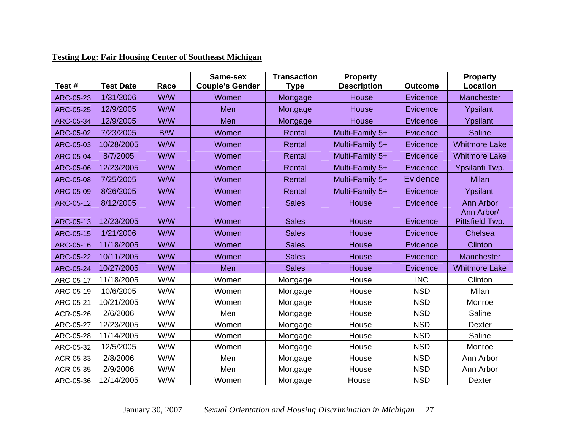| Test#            | <b>Test Date</b> | Race | Same-sex<br><b>Couple's Gender</b> | <b>Transaction</b><br><b>Type</b> | <b>Property</b><br><b>Description</b> | <b>Outcome</b> | <b>Property</b><br>Location   |
|------------------|------------------|------|------------------------------------|-----------------------------------|---------------------------------------|----------------|-------------------------------|
| <b>ARC-05-23</b> | 1/31/2006        | W/W  | Women                              | Mortgage                          | House                                 | Evidence       | Manchester                    |
| <b>ARC-05-25</b> | 12/9/2005        | W/W  | <b>Men</b>                         | Mortgage                          | <b>House</b>                          | Evidence       | Ypsilanti                     |
| <b>ARC-05-34</b> | 12/9/2005        | W/W  | Men                                | Mortgage                          | House                                 | Evidence       | Ypsilanti                     |
| ARC-05-02        | 7/23/2005        | B/W  | Women                              | Rental                            | Multi-Family 5+                       | Evidence       | <b>Saline</b>                 |
| ARC-05-03        | 10/28/2005       | W/W  | Women                              | Rental                            | Multi-Family 5+                       | Evidence       | <b>Whitmore Lake</b>          |
| <b>ARC-05-04</b> | 8/7/2005         | W/W  | Women                              | Rental                            | Multi-Family 5+                       | Evidence       | <b>Whitmore Lake</b>          |
| <b>ARC-05-06</b> | 12/23/2005       | W/W  | Women                              | Rental                            | Multi-Family 5+                       | Evidence       | Ypsilanti Twp.                |
| <b>ARC-05-08</b> | 7/25/2005        | W/W  | Women                              | Rental                            | Multi-Family 5+                       | Evidence       | <b>Milan</b>                  |
| ARC-05-09        | 8/26/2005        | W/W  | Women                              | Rental                            | Multi-Family 5+                       | Evidence       | Ypsilanti                     |
| ARC-05-12        | 8/12/2005        | W/W  | Women                              | <b>Sales</b>                      | House                                 | Evidence       | <b>Ann Arbor</b>              |
| ARC-05-13        | 12/23/2005       | W/W  | Women                              | <b>Sales</b>                      | House                                 | Evidence       | Ann Arbor/<br>Pittsfield Twp. |
| <b>ARC-05-15</b> | 1/21/2006        | W/W  | Women                              | <b>Sales</b>                      | House                                 | Evidence       | Chelsea                       |
| ARC-05-16        | 11/18/2005       | W/W  | Women                              | <b>Sales</b>                      | House                                 | Evidence       | <b>Clinton</b>                |
| ARC-05-22        | 10/11/2005       | W/W  | Women                              | <b>Sales</b>                      | <b>House</b>                          | Evidence       | Manchester                    |
| <b>ARC-05-24</b> | 10/27/2005       | W/W  | <b>Men</b>                         | <b>Sales</b>                      | House                                 | Evidence       | <b>Whitmore Lake</b>          |
| ARC-05-17        | 11/18/2005       | W/W  | Women                              | Mortgage                          | House                                 | <b>INC</b>     | Clinton                       |
| ARC-05-19        | 10/6/2005        | W/W  | Women                              | Mortgage                          | House                                 | <b>NSD</b>     | Milan                         |
| ARC-05-21        | 10/21/2005       | W/W  | Women                              | Mortgage                          | House                                 | <b>NSD</b>     | Monroe                        |
| ACR-05-26        | 2/6/2006         | W/W  | Men                                | Mortgage                          | House                                 | <b>NSD</b>     | Saline                        |
| ARC-05-27        | 12/23/2005       | W/W  | Women                              | Mortgage                          | House                                 | <b>NSD</b>     | Dexter                        |
| ARC-05-28        | 11/14/2005       | W/W  | Women                              | Mortgage                          | House                                 | <b>NSD</b>     | Saline                        |
| ARC-05-32        | 12/5/2005        | W/W  | Women                              | Mortgage                          | House                                 | <b>NSD</b>     | Monroe                        |
| ACR-05-33        | 2/8/2006         | W/W  | Men                                | Mortgage                          | House                                 | <b>NSD</b>     | Ann Arbor                     |
| ACR-05-35        | 2/9/2006         | W/W  | Men                                | Mortgage                          | House                                 | <b>NSD</b>     | Ann Arbor                     |
| ARC-05-36        | 12/14/2005       | W/W  | Women                              | Mortgage                          | House                                 | <b>NSD</b>     | Dexter                        |

#### **Testing Log: Fair Housing Center of Southeast Michigan**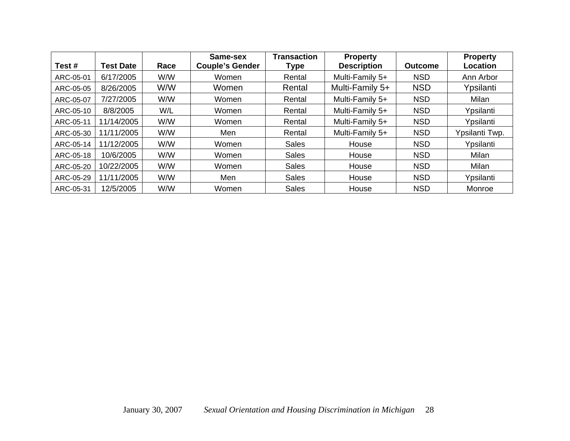| Test#     | Test Date  | Race | Same-sex<br><b>Couple's Gender</b> | <b>Transaction</b><br>Type | <b>Property</b><br><b>Description</b> | <b>Outcome</b> | <b>Property</b><br><b>Location</b> |
|-----------|------------|------|------------------------------------|----------------------------|---------------------------------------|----------------|------------------------------------|
| ARC-05-01 | 6/17/2005  | W/W  | Women                              | Rental                     | Multi-Family 5+                       | <b>NSD</b>     | Ann Arbor                          |
| ARC-05-05 | 8/26/2005  | W/W  | Women                              | Rental                     | Multi-Family 5+                       | <b>NSD</b>     | Ypsilanti                          |
| ARC-05-07 | 7/27/2005  | W/W  | Women                              | Rental                     | Multi-Family 5+                       | <b>NSD</b>     | Milan                              |
| ARC-05-10 | 8/8/2005   | W/L  | Women                              | Rental                     | Multi-Family 5+                       | <b>NSD</b>     | Ypsilanti                          |
| ARC-05-11 | 11/14/2005 | W/W  | Women                              | Rental                     | Multi-Family 5+                       | <b>NSD</b>     | Ypsilanti                          |
| ARC-05-30 | 11/11/2005 | W/W  | Men                                | Rental                     | Multi-Family 5+                       | <b>NSD</b>     | Ypsilanti Twp.                     |
| ARC-05-14 | 11/12/2005 | W/W  | Women                              | <b>Sales</b>               | House                                 | <b>NSD</b>     | Ypsilanti                          |
| ARC-05-18 | 10/6/2005  | W/W  | Women                              | <b>Sales</b>               | House                                 | <b>NSD</b>     | Milan                              |
| ARC-05-20 | 10/22/2005 | W/W  | Women                              | <b>Sales</b>               | House                                 | <b>NSD</b>     | Milan                              |
| ARC-05-29 | 11/11/2005 | W/W  | Men                                | <b>Sales</b>               | House                                 | <b>NSD</b>     | Ypsilanti                          |
| ARC-05-31 | 12/5/2005  | W/W  | Women                              | <b>Sales</b>               | House                                 | <b>NSD</b>     | Monroe                             |